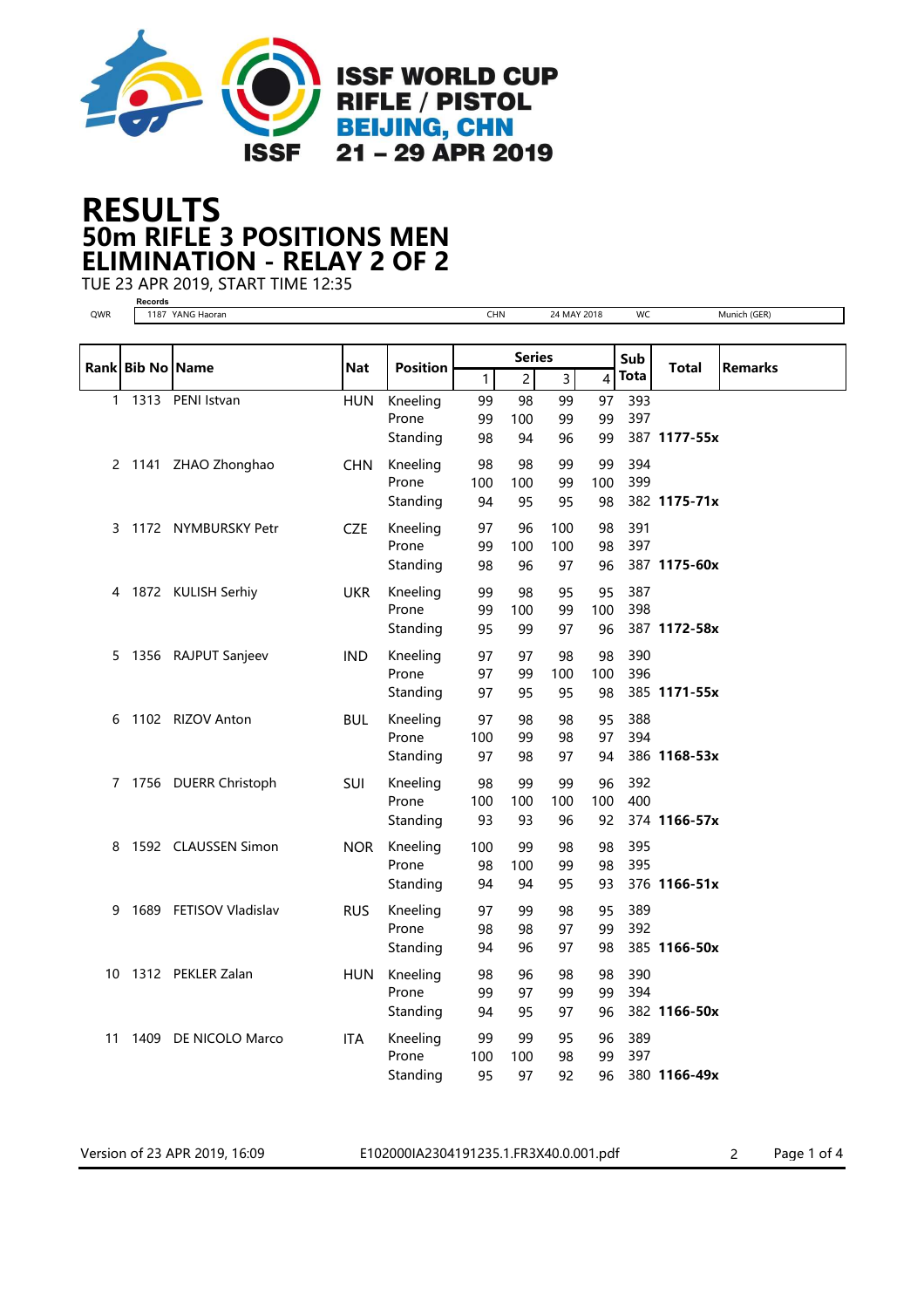

## 50m RIFLE 3 POSITIONS MEN RESULTS ELIMINATION - RELAY 2 OF 2

TUE 23 APR 2019, START TIME 12:35

Version of 23 APR 2019, 16:09 E102000IA2304191235.1.FR3X40.0.001.pdf 2 Page 1 of 4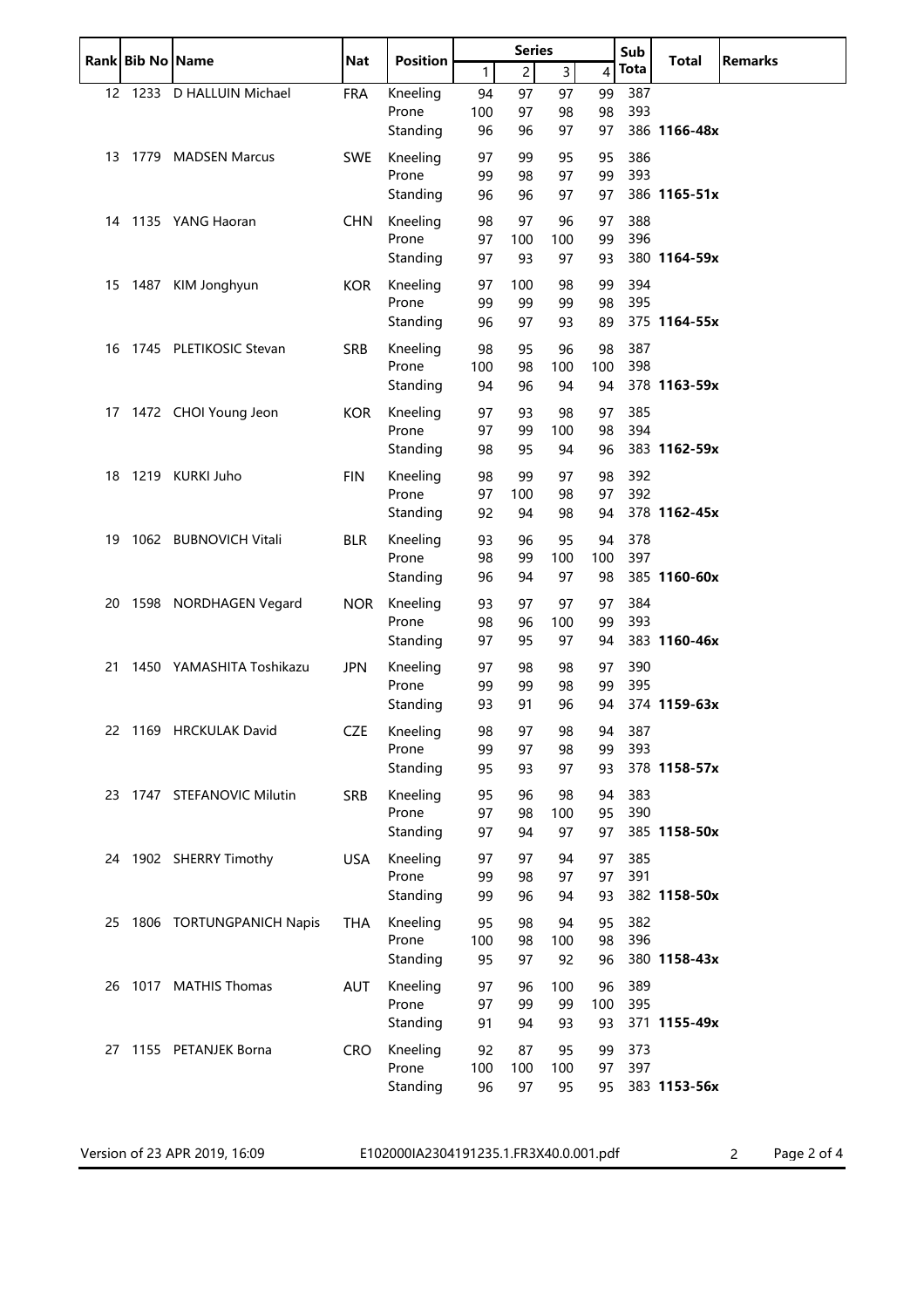|    | Rank Bib No Name |                            | <b>Nat</b> | <b>Position</b>   | <b>Series</b> |                |                | Sub      | <b>Total</b>  | <b>Remarks</b> |  |
|----|------------------|----------------------------|------------|-------------------|---------------|----------------|----------------|----------|---------------|----------------|--|
|    |                  |                            |            |                   | $\mathbf{1}$  | $\overline{c}$ | $\overline{3}$ | 4        | Tota          |                |  |
|    |                  | 12 1233 D HALLUIN Michael  | <b>FRA</b> | Kneeling          | 94            | 97             | 97             | 99       | 387           |                |  |
|    |                  |                            |            | Prone             | 100           | 97             | 98             | 98       | 393           |                |  |
|    |                  |                            |            | Standing          | 96            | 96             | 97             | 97       |               | 386 1166-48x   |  |
| 13 |                  | 1779 MADSEN Marcus         | <b>SWE</b> | Kneeling          | 97            | 99             | 95             | 95       | 386           |                |  |
|    |                  |                            |            | Prone             | 99            | 98             | 97             | 99       | 393           |                |  |
|    |                  |                            |            | Standing          | 96            | 96             | 97             | 97       |               | 386 1165-51x   |  |
|    |                  | 14 1135 YANG Haoran        | <b>CHN</b> | Kneeling          | 98            | 97             | 96             | 97       | 388           |                |  |
|    |                  |                            |            | Prone             | 97            | 100            | 100            | 99       | 396           |                |  |
|    |                  |                            |            | Standing          | 97            | 93             | 97             | 93       |               | 380 1164-59x   |  |
|    |                  | 15 1487 KIM Jonghyun       | <b>KOR</b> | Kneeling          | 97            | 100            | 98             | 99       | 394           |                |  |
|    |                  |                            |            | Prone             | 99            | 99             | 99             | 98       | 395           |                |  |
|    |                  |                            |            | Standing          | 96            | 97             | 93             | 89       |               | 375 1164-55x   |  |
|    |                  | 16 1745 PLETIKOSIC Stevan  | SRB        | Kneeling          | 98            | 95             | 96             | 98       | 387           |                |  |
|    |                  |                            |            | Prone             | 100           | 98             | 100            | 100      | 398           |                |  |
|    |                  |                            |            | Standing          | 94            | 96             | 94             | 94       |               | 378 1163-59x   |  |
|    |                  | 17 1472 CHOI Young Jeon    | <b>KOR</b> | Kneeling          | 97            | 93             | 98             | 97       | 385           |                |  |
|    |                  |                            |            | Prone             | 97            | 99             | 100            | 98       | 394           |                |  |
|    |                  |                            |            | Standing          | 98            | 95             | 94             | 96       |               | 383 1162-59x   |  |
| 18 |                  | 1219 KURKI Juho            | <b>FIN</b> | Kneeling          | 98            | 99             | 97             | 98       | 392           |                |  |
|    |                  |                            |            | Prone             | 97            | 100            | 98             | 97       | 392           |                |  |
|    |                  |                            |            | Standing          | 92            | 94             | 98             | 94       |               | 378 1162-45x   |  |
| 19 |                  | 1062 BUBNOVICH Vitali      | <b>BLR</b> | Kneeling          | 93            | 96             | 95             | 94       | 378           |                |  |
|    |                  |                            |            | Prone             | 98            | 99             | 100            | 100      | 397           |                |  |
|    |                  |                            |            | Standing          | 96            | 94             | 97             | 98       |               | 385 1160-60x   |  |
|    |                  | 20 1598 NORDHAGEN Vegard   | <b>NOR</b> | Kneeling          | 93            | 97             | 97             | 97       | 384           |                |  |
|    |                  |                            |            | Prone             | 98            | 96             | 100            | 99       | 393           |                |  |
|    |                  |                            |            | Standing          | 97            | 95             | 97             | 94       |               | 383 1160-46x   |  |
| 21 |                  | 1450 YAMASHITA Toshikazu   |            | Kneeling          | 97            | 98             | 98             | 97       | 390           |                |  |
|    |                  |                            | <b>JPN</b> | Prone             | 99            | 99             | 98             | 99       | 395           |                |  |
|    |                  |                            |            | Standing          | 93            | 91             | 96             | 94       |               | 374 1159-63x   |  |
|    |                  |                            | <b>CZE</b> | Kneeling          |               |                |                |          |               |                |  |
|    |                  | 22 1169 HRCKULAK David     |            | Prone             | 98<br>99      | 97<br>97       | 98<br>98       | 99       | 94 387<br>393 |                |  |
|    |                  |                            |            | Standing          | 95            | 93             | 97             | 93       |               | 378 1158-57x   |  |
|    |                  |                            |            |                   |               |                |                |          |               |                |  |
|    |                  | 23 1747 STEFANOVIC Milutin | <b>SRB</b> | Kneeling<br>Prone | 95<br>97      | 96<br>98       | 98<br>100      | 94<br>95 | 383<br>390    |                |  |
|    |                  |                            |            | Standing          | 97            | 94             | 97             | 97       |               | 385 1158-50x   |  |
|    |                  |                            |            |                   |               |                |                |          |               |                |  |
|    |                  | 24 1902 SHERRY Timothy     | <b>USA</b> | Kneeling<br>Prone | 97<br>99      | 97<br>98       | 94<br>97       | 97<br>97 | 385<br>391    |                |  |
|    |                  |                            |            | Standing          | 99            | 96             | 94             | 93       |               | 382 1158-50x   |  |
|    |                  |                            |            |                   |               |                |                |          |               |                |  |
| 25 |                  | 1806 TORTUNGPANICH Napis   | THA        | Kneeling<br>Prone | 95<br>100     | 98<br>98       | 94<br>100      | 95<br>98 | 382<br>396    |                |  |
|    |                  |                            |            | Standing          | 95            | 97             | 92             | 96       |               | 380 1158-43x   |  |
|    |                  |                            |            |                   |               |                |                |          |               |                |  |
|    |                  | 26 1017 MATHIS Thomas      | AUT        | Kneeling          | 97            | 96             | 100            | 96       | 389           |                |  |
|    |                  |                            |            | Prone             | 97            | 99             | 99             | 100      | 395           | 371 1155-49x   |  |
|    |                  |                            |            | Standing          | 91            | 94             | 93             | 93       |               |                |  |
| 27 |                  | 1155 PETANJEK Borna        | <b>CRO</b> | Kneeling          | 92            | 87             | 95             | 99       | 373           |                |  |
|    |                  |                            |            | Prone             | 100           | 100            | 100            | 97       | 397           |                |  |
|    |                  |                            |            | Standing          | 96            | 97             | 95             | 95       |               | 383 1153-56x   |  |
|    |                  |                            |            |                   |               |                |                |          |               |                |  |

Version of 23 APR 2019, 16:09 E102000IA2304191235.1.FR3X40.0.001.pdf 2 Page 2 of 4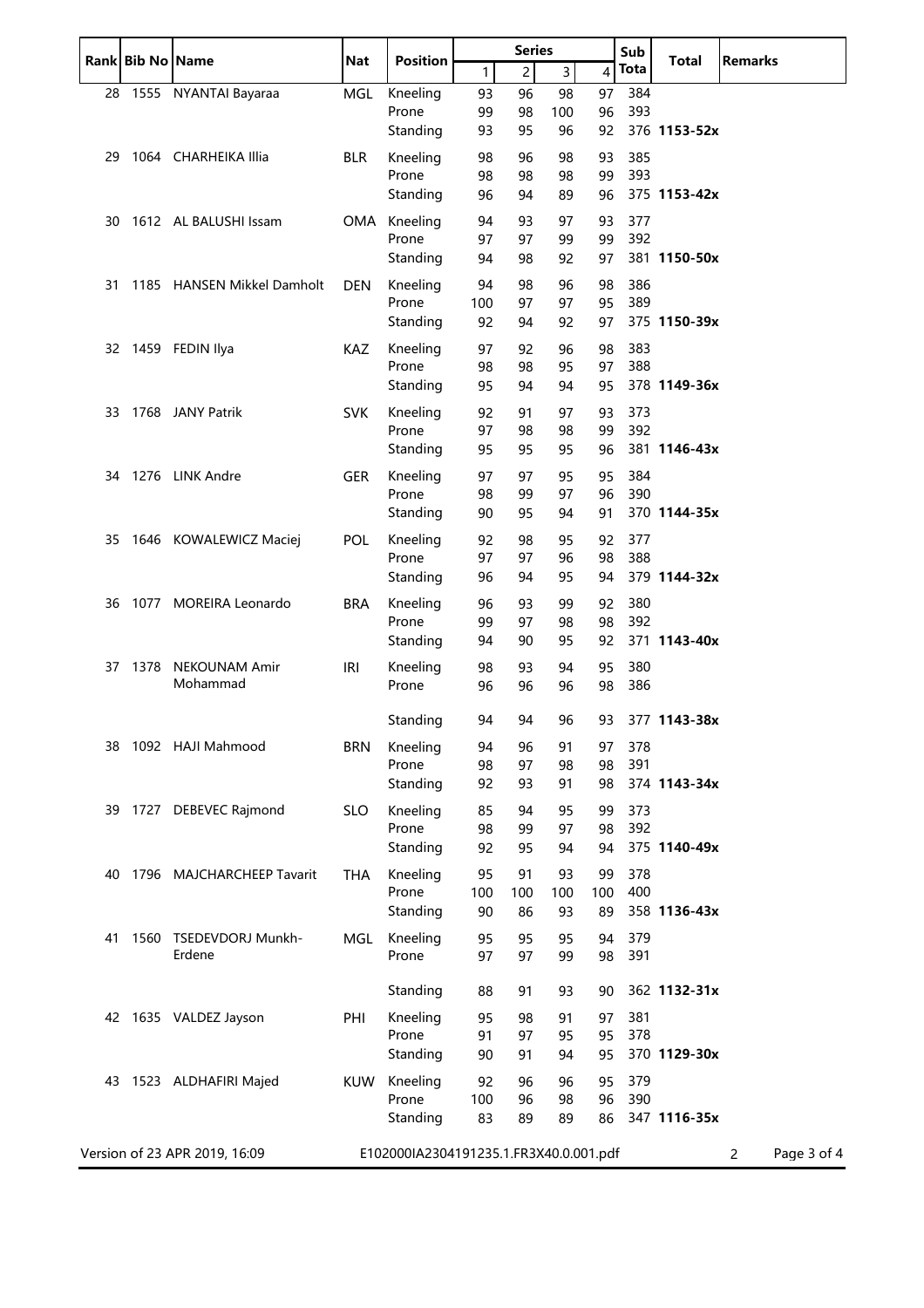|    | Rank Bib No Name |                               | <b>Nat</b> | <b>Position</b>                        | <b>Series</b> |                | Sub            | <b>Total</b> | <b>Remarks</b> |              |                               |
|----|------------------|-------------------------------|------------|----------------------------------------|---------------|----------------|----------------|--------------|----------------|--------------|-------------------------------|
|    |                  |                               |            |                                        | 1             | $\overline{2}$ | $\overline{3}$ | 4            | <b>Tota</b>    |              |                               |
| 28 |                  | 1555 NYANTAI Bayaraa          | MGL        | Kneeling                               | 93            | 96             | 98             | 97           | 384            |              |                               |
|    |                  |                               |            | Prone                                  | 99            | 98             | 100            | 96           | 393            |              |                               |
|    |                  |                               |            | Standing                               | 93            | 95             | 96             | 92           |                | 376 1153-52x |                               |
| 29 |                  | 1064 CHARHEIKA Illia          | <b>BLR</b> | Kneeling                               | 98            | 96             | 98             | 93           | 385            |              |                               |
|    |                  |                               |            | Prone                                  | 98            | 98             | 98             | 99           | 393            |              |                               |
|    |                  |                               |            | Standing                               | 96            | 94             | 89             | 96           |                | 375 1153-42x |                               |
| 30 |                  | 1612 AL BALUSHI Issam         | OMA        | Kneeling                               | 94            | 93             | 97             | 93           | 377            |              |                               |
|    |                  |                               |            | Prone                                  | 97            | 97             | 99             | 99           | 392            |              |                               |
|    |                  |                               |            | Standing                               | 94            | 98             | 92             | 97           |                | 381 1150-50x |                               |
| 31 |                  | 1185 HANSEN Mikkel Damholt    | <b>DEN</b> | Kneeling                               | 94            | 98             | 96             | 98           | 386            |              |                               |
|    |                  |                               |            | Prone                                  | 100           | 97             | 97             | 95           | 389            |              |                               |
|    |                  |                               |            | Standing                               | 92            | 94             | 92             | 97           |                | 375 1150-39x |                               |
|    |                  | 32 1459 FEDIN Ilya            | <b>KAZ</b> | Kneeling                               | 97            | 92             | 96             | 98           | 383            |              |                               |
|    |                  |                               |            | Prone                                  | 98            | 98             | 95             | 97           | 388            |              |                               |
|    |                  |                               |            | Standing                               | 95            | 94             | 94             | 95           |                | 378 1149-36x |                               |
| 33 |                  | 1768 JANY Patrik              | <b>SVK</b> | Kneeling                               | 92            | 91             | 97             | 93           | 373            |              |                               |
|    |                  |                               |            | Prone                                  | 97            | 98             | 98             | 99           | 392            |              |                               |
|    |                  |                               |            | Standing                               | 95            | 95             | 95             | 96           |                | 381 1146-43x |                               |
| 34 |                  | 1276 LINK Andre               | GER        | Kneeling                               | 97            | 97             | 95             | 95           | 384            |              |                               |
|    |                  |                               |            | Prone                                  | 98            | 99             | 97             | 96           | 390            |              |                               |
|    |                  |                               |            | Standing                               | 90            | 95             | 94             | 91           |                | 370 1144-35x |                               |
| 35 |                  | 1646 KOWALEWICZ Maciej        | <b>POL</b> | Kneeling                               | 92            | 98             | 95             | 92           | 377            |              |                               |
|    |                  |                               |            | Prone                                  | 97            | 97             | 96             | 98           | 388            |              |                               |
|    |                  |                               |            | Standing                               | 96            | 94             | 95             | 94           |                | 379 1144-32x |                               |
| 36 |                  | 1077 MOREIRA Leonardo         | <b>BRA</b> | Kneeling                               | 96            | 93             | 99             | 92           | 380            |              |                               |
|    |                  |                               |            | Prone                                  | 99            | 97             | 98             | 98           | 392            |              |                               |
|    |                  |                               |            | Standing                               | 94            | 90             | 95             | 92           |                | 371 1143-40x |                               |
| 37 | 1378             | <b>NEKOUNAM Amir</b>          | <b>IRI</b> | Kneeling                               | 98            | 93             | 94             | 95           | 380            |              |                               |
|    |                  | Mohammad                      |            | Prone                                  | 96            | 96             | 96             | 98           | 386            |              |                               |
|    |                  |                               |            |                                        |               |                |                |              |                |              |                               |
|    |                  |                               |            | Standing                               | 94            | 94             | 96             | 93           |                | 377 1143-38x |                               |
| 38 |                  | 1092 HAJI Mahmood             | <b>BRN</b> | Kneeling                               | 94            | 96             | 91             | 97           | 378            |              |                               |
|    |                  |                               |            | Prone                                  | 98            | 97             | 98             | 98           | 391            |              |                               |
|    |                  |                               |            | Standing                               | 92            | 93             | 91             | 98           |                | 374 1143-34x |                               |
|    |                  | 39 1727 DEBEVEC Rajmond       | <b>SLO</b> | Kneeling                               | 85            | 94             | 95             | 99           | 373            |              |                               |
|    |                  |                               |            | Prone                                  | 98            | 99             | 97             | 98           | 392            |              |                               |
|    |                  |                               |            | Standing                               | 92            | 95             | 94             | 94           |                | 375 1140-49x |                               |
| 40 |                  | 1796 MAJCHARCHEEP Tavarit     | THA        | Kneeling                               | 95            | 91             | 93             | 99           | 378            |              |                               |
|    |                  |                               |            | Prone                                  | 100           | 100            | 100            | 100          | 400            |              |                               |
|    |                  |                               |            | Standing                               | 90            | 86             | 93             | 89           |                | 358 1136-43x |                               |
| 41 | 1560             | TSEDEVDORJ Munkh-             | MGL        | Kneeling                               | 95            | 95             | 95             | 94           | 379            |              |                               |
|    |                  | Erdene                        |            | Prone                                  | 97            | 97             | 99             | 98           | 391            |              |                               |
|    |                  |                               |            |                                        |               |                |                |              |                |              |                               |
|    |                  |                               |            | Standing                               | 88            | 91             | 93             | 90           |                | 362 1132-31x |                               |
|    |                  | 42 1635 VALDEZ Jayson         | PHI        | Kneeling                               | 95            | 98             | 91             | 97           | 381            |              |                               |
|    |                  |                               |            | Prone                                  | 91            | 97             | 95             | 95           | 378            |              |                               |
|    |                  |                               |            | Standing                               | 90            | 91             | 94             | 95           |                | 370 1129-30x |                               |
|    |                  | 43 1523 ALDHAFIRI Majed       | KUW        | Kneeling                               | 92            | 96             | 96             | 95           | 379            |              |                               |
|    |                  |                               |            | Prone                                  | 100           | 96             | 98             | 96           | 390            |              |                               |
|    |                  |                               |            | Standing                               | 83            | 89             | 89             | 86           |                | 347 1116-35x |                               |
|    |                  |                               |            |                                        |               |                |                |              |                |              |                               |
|    |                  | Version of 23 APR 2019, 16:09 |            | E102000IA2304191235.1.FR3X40.0.001.pdf |               |                |                |              |                |              | Page 3 of 4<br>$\overline{2}$ |